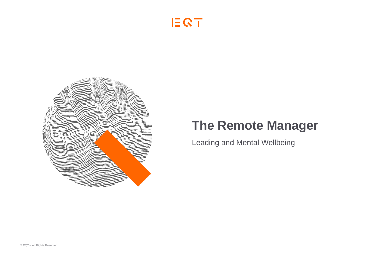



# **The Remote Manager**

Leading and Mental Wellbeing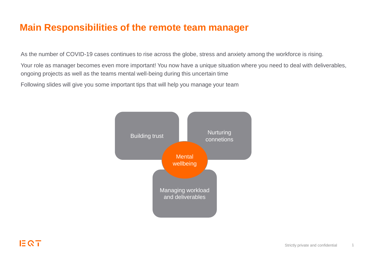### **Main Responsibilities of the remote team manager**

As the number of COVID-19 cases continues to rise across the globe, stress and anxiety among the workforce is rising.

Your role as manager becomes even more important! You now have a unique situation where you need to deal with deliverables, ongoing projects as well as the teams mental well-being during this uncertain time

Following slides will give you some important tips that will help you manage your team

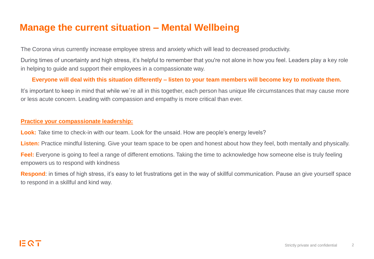### **Manage the current situation – Mental Wellbeing**

The Corona virus currently increase employee stress and anxiety which will lead to decreased productivity.

During times of uncertainty and high stress, it's helpful to remember that you're not alone in how you feel. Leaders play a key role in helping to guide and support their employees in a compassionate way.

#### **Everyone will deal with this situation differently – listen to your team members will become key to motivate them.**

It's important to keep in mind that while we´re all in this together, each person has unique life circumstances that may cause more or less acute concern. Leading with compassion and empathy is more critical than ever.

#### **Practice your compassionate leadership:**

Look: Take time to check-in with our team. Look for the unsaid. How are people's energy levels?

Listen: Practice mindful listening. Give your team space to be open and honest about how they feel, both mentally and physically.

**Feel:** Everyone is going to feel a range of different emotions. Taking the time to acknowledge how someone else is truly feeling empowers us to respond with kindness

**Respond**: in times of high stress, it's easy to let frustrations get in the way of skillful communication. Pause an give yourself space to respond in a skillful and kind way.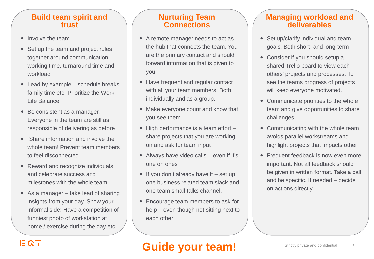### **Build team spirit and trust**

- Involve the team
- Set up the team and project rules together around communication, working time, turnaround time and workload
- Lead by example schedule breaks, family time etc. Prioritize the Work-Life Balance!
- Be consistent as a manager. Everyone in the team are still as responsible of delivering as before
- Share information and involve the whole team! Prevent team members to feel disconnected.
- Reward and recognize individuals and celebrate success and milestones with the whole team!
- As a manager take lead of sharing insights from your day. Show your informal side! Have a competition of funniest photo of workstation at home / exercise during the day etc.

### **Nurturing Team Connections**

- A remote manager needs to act as the hub that connects the team. You are the primary contact and should forward information that is given to you.
- Have frequent and regular contact with all your team members. Both individually and as a group.
- Make everyone count and know that you see them
- $\bullet$  High performance is a team effort  $$ share projects that you are working on and ask for team input
- Always have video calls even if it's one on ones
- $\bullet$  If you don't already have it set up one business related team slack and one team small-talks channel.
- Encourage team members to ask for help – even though not sitting next to each other

### **Managing workload and deliverables**

- Set up/clarify individual and team goals. Both short- and long-term
- Consider if you should setup a shared Trello board to view each others' projects and processes. To see the teams progress of projects will keep everyone motivated.
- Communicate priorities to the whole team and give opportunities to share challenges.
- Communicating with the whole team avoids parallel workstreams and highlight projects that impacts other
- Frequent feedback is now even more important. Not all feedback should be given in written format. Take a call and be specific. If needed – decide on actions directly.

## EQT

# **Guide your team!**